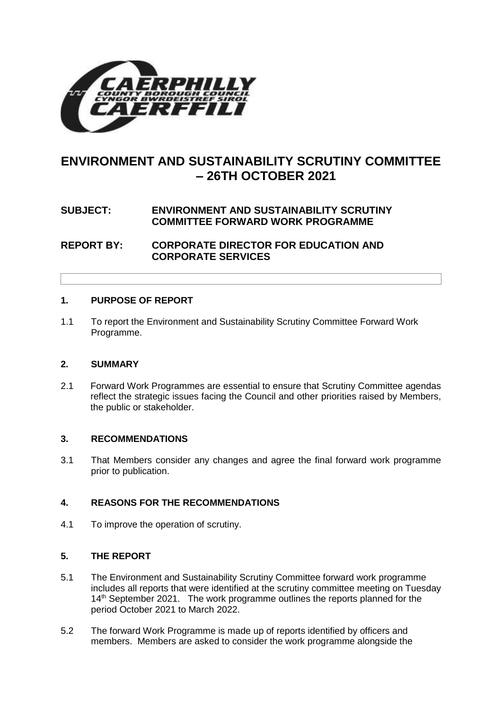

# **ENVIRONMENT AND SUSTAINABILITY SCRUTINY COMMITTEE – 26TH OCTOBER 2021**

## **SUBJECT: ENVIRONMENT AND SUSTAINABILITY SCRUTINY COMMITTEE FORWARD WORK PROGRAMME**

**REPORT BY: CORPORATE DIRECTOR FOR EDUCATION AND CORPORATE SERVICES**

#### **1. PURPOSE OF REPORT**

1.1 To report the Environment and Sustainability Scrutiny Committee Forward Work Programme.

#### **2. SUMMARY**

2.1 Forward Work Programmes are essential to ensure that Scrutiny Committee agendas reflect the strategic issues facing the Council and other priorities raised by Members, the public or stakeholder.

#### **3. RECOMMENDATIONS**

3.1 That Members consider any changes and agree the final forward work programme prior to publication.

#### **4. REASONS FOR THE RECOMMENDATIONS**

4.1 To improve the operation of scrutiny.

#### **5. THE REPORT**

- 5.1 The Environment and Sustainability Scrutiny Committee forward work programme includes all reports that were identified at the scrutiny committee meeting on Tuesday 14<sup>th</sup> September 2021. The work programme outlines the reports planned for the period October 2021 to March 2022.
- 5.2 The forward Work Programme is made up of reports identified by officers and members. Members are asked to consider the work programme alongside the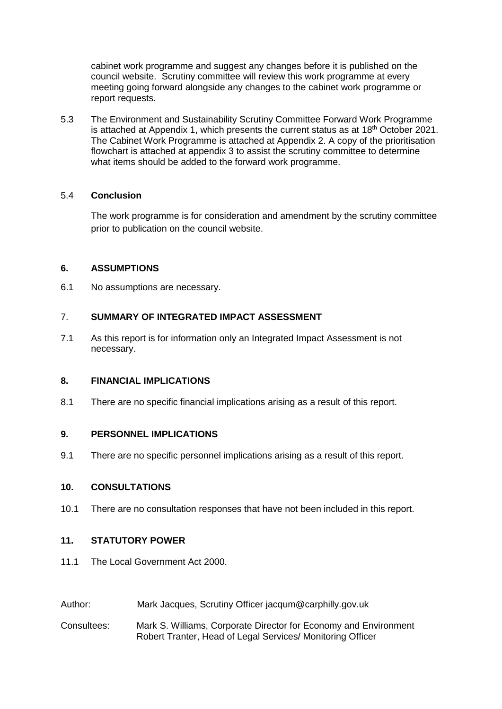cabinet work programme and suggest any changes before it is published on the council website. Scrutiny committee will review this work programme at every meeting going forward alongside any changes to the cabinet work programme or report requests.

5.3 The Environment and Sustainability Scrutiny Committee Forward Work Programme is attached at Appendix 1, which presents the current status as at  $18<sup>th</sup>$  October 2021. The Cabinet Work Programme is attached at Appendix 2. A copy of the prioritisation flowchart is attached at appendix 3 to assist the scrutiny committee to determine what items should be added to the forward work programme.

#### 5.4 **Conclusion**

The work programme is for consideration and amendment by the scrutiny committee prior to publication on the council website.

#### **6. ASSUMPTIONS**

6.1 No assumptions are necessary.

## 7. **SUMMARY OF INTEGRATED IMPACT ASSESSMENT**

7.1 As this report is for information only an Integrated Impact Assessment is not necessary.

#### **8. FINANCIAL IMPLICATIONS**

8.1 There are no specific financial implications arising as a result of this report.

#### **9. PERSONNEL IMPLICATIONS**

9.1 There are no specific personnel implications arising as a result of this report.

#### **10. CONSULTATIONS**

10.1 There are no consultation responses that have not been included in this report.

## **11. STATUTORY POWER**

- 11.1 The Local Government Act 2000.
- Author: Mark Jacques, Scrutiny Officer jacqum@carphilly.gov.uk
- Consultees: Mark S. Williams, Corporate Director for Economy and Environment Robert Tranter, Head of Legal Services/ Monitoring Officer